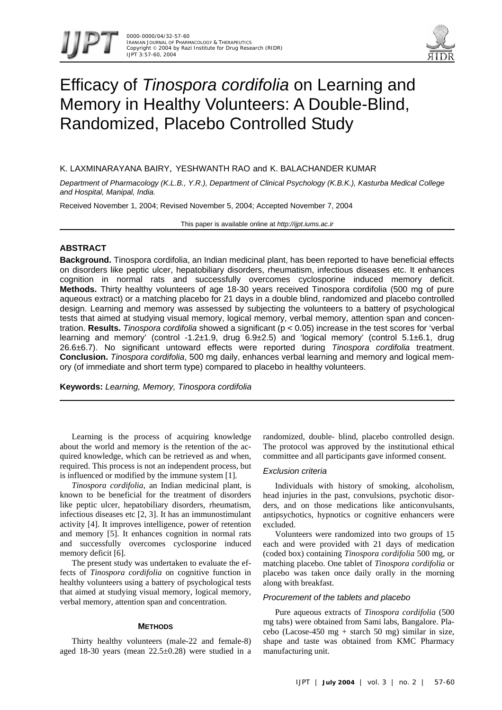



# Efficacy of *Tinospora cordifolia* on Learning and Memory in Healthy Volunteers: A Double-Blind, Randomized, Placebo Controlled Study

# K. LAXMINARAYANA BAIRY, YESHWANTH RAO and K. BALACHANDER KUMAR

*Department of Pharmacology (K.L.B., Y.R.), Department of Clinical Psychology (K.B.K.), Kasturba Medical College and Hospital, Manipal, India.*

Received November 1, 2004; Revised November 5, 2004; Accepted November 7, 2004

This paper is available online at *http://ijpt.iums.ac.ir*

# **ABSTRACT**

**Background.** Tinospora cordifolia, an Indian medicinal plant, has been reported to have beneficial effects on disorders like peptic ulcer, hepatobiliary disorders, rheumatism, infectious diseases etc. It enhances cognition in normal rats and successfully overcomes cyclosporine induced memory deficit. **Methods.** Thirty healthy volunteers of age 18-30 years received Tinospora cordifolia (500 mg of pure aqueous extract) or a matching placebo for 21 days in a double blind, randomized and placebo controlled design. Learning and memory was assessed by subjecting the volunteers to a battery of psychological tests that aimed at studying visual memory, logical memory, verbal memory, attention span and concentration. **Results.** *Tinospora cordifolia* showed a significant (p < 0.05) increase in the test scores for 'verbal learning and memory' (control  $-1.2\pm1.9$ , drug  $6.9\pm2.5$ ) and 'logical memory' (control  $5.1\pm6.1$ , drug 26.6±6.7). No significant untoward effects were reported during *Tinospora cordifolia* treatment. **Conclusion.** *Tinospora cordifolia*, 500 mg daily, enhances verbal learning and memory and logical memory (of immediate and short term type) compared to placebo in healthy volunteers.

**Keywords:** *Learning, Memory, Tinospora cordifolia* 

Learning is the process of acquiring knowledge about the world and memory is the retention of the acquired knowledge, which can be retrieved as and when, required. This process is not an independent process, but is influenced or modified by the immune system [\[ 1\]](#page-3-0).

*Tinospora cordifolia*, an Indian medicinal plant, is known to be beneficial for the treatment of disorders like peptic ulcer, hepatobiliary disorders, rheumatism, infectious diseases etc [\[2,](#page-3-1) [3\]](#page-3-2). It has an immunostimulant activity [\[ 4\]](#page-3-3). It improves intelligence, power of retention and memory [5]. It enhances cognition in normal rats and successfully overcomes cyclosporine induced memory deficit [\[6\]](#page-3-5).

The present study was undertaken to evaluate the effects of *Tinospora cordifolia* on cognitive function in healthy volunteers using a battery of psychological tests that aimed at studying visual memory, logical memory, verbal memory, attention span and concentration.

### **METHODS**

Thirty healthy volunteers (male-22 and female-8) aged 18-30 years (mean 22.5±0.28) were studied in a randomized, double- blind, placebo controlled design. The protocol was approved by the institutional ethical committee and all participants gave informed consent.

# *Exclusion criteria*

Individuals with history of smoking, alcoholism, head injuries in the past, convulsions, psychotic disorders, and on those medications like anticonvulsants, antipsychotics, hypnotics or cognitive enhancers were excluded.

Volunteers were randomized into two groups of 15 each and were provided with 21 days of medication (coded box) containing *Tinospora cordifolia* 500 mg, or matching placebo. One tablet of *Tinospora cordifolia* or placebo was taken once daily orally in the morning along with breakfast.

## *Procurement of the tablets and placebo*

Pure aqueous extracts of *Tinospora cordifolia* (500 mg tabs) were obtained from Sami labs, Bangalore. Placebo (Lacose-450 mg + starch 50 mg) similar in size, shape and taste was obtained from KMC Pharmacy manufacturing unit.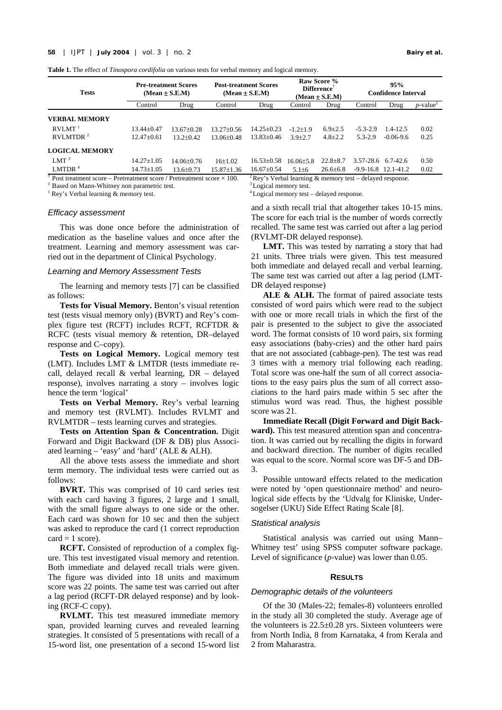<span id="page-1-0"></span>

|  |  |  |  |  | Table 1. The effect of Tinospora cordifolia on various tests for verbal memory and logical memory. |  |
|--|--|--|--|--|----------------------------------------------------------------------------------------------------|--|
|  |  |  |  |  |                                                                                                    |  |

| <b>Tests</b>                                 |                  | <b>Pre-treatment Scores</b><br>$(Mean \pm S.E.M)$ | <b>Post-treatment Scores</b><br>$(Mean \pm S.E.M)$ |                  | Raw Score %<br>$\mathbf{Difference}^{\mathsf{T}}$<br>$(Mean \pm S.E.M)$ |                | 95%<br><b>Confidence Interval</b> |                         |                         |
|----------------------------------------------|------------------|---------------------------------------------------|----------------------------------------------------|------------------|-------------------------------------------------------------------------|----------------|-----------------------------------|-------------------------|-------------------------|
|                                              | Control          | Drug                                              | Control                                            | Drug             | Control                                                                 | Drug           | Control                           | Drug                    | $p$ -value <sup>+</sup> |
| <b>VERBAL MEMORY</b>                         |                  |                                                   |                                                    |                  |                                                                         |                |                                   |                         |                         |
| RVLMT <sup>1</sup>                           | $13.44 + 0.47$   | $13.67+0.28$                                      | $13.27+0.56$                                       | $14.25 \pm 0.23$ | $-1.2+1.9$                                                              | $6.9 \pm 2.5$  | $-5.3-2.9$                        | $1.4 - 12.5$            | 0.02                    |
| RVLMTDR <sup>2</sup>                         | $12.47+0.61$     | $13.2 + 0.42$                                     | $13.06 + 0.48$                                     | $13.83+0.46$     | $3.9 + 2.7$                                                             | $4.8 \pm 2.2$  | $5.3 - 2.9$                       | $-0.06 - 9.6$           | 0.25                    |
| <b>LOGICAL MEMORY</b>                        |                  |                                                   |                                                    |                  |                                                                         |                |                                   |                         |                         |
| $LMT^3$                                      | $14.27 + 1.05$   | $14.06 + 0.76$                                    | 16±1.02                                            | $16.53 \pm 0.58$ | $16.06 + 5.8$                                                           | $22.8 + 8.7$   | 3.57-28.6                         | 6.7-42.6                | 0.50                    |
| LMTDR $4$<br>$\pm$ $\rightarrow$ $\pm$ $\pm$ | $14.73 \pm 1.05$ | $13.6 \pm 0.73$                                   | $15.87 \pm 1.36$                                   | $16.67 \pm 0.54$ | $5.1 + 6$                                                               | $26.6 \pm 6.8$ |                                   | $-9.9 - 16.8$ 12.1-41.2 | 0.02                    |

Post treatment score – Pretreatment score / Pretreatment score  $\times$  100.

‡ Based on Mann-Whitney non parametric test.

 $<sup>1</sup>$  Rey's Verbal learning & memory test.</sup>

#### *Efficacy assessment*

This was done once before the administration of medication as the baseline values and once after the treatment. Learning and memory assessment was carried out in the department of Clinical Psychology.

## *Learning and Memory Assessment Tests*

The learning and memory tests [7] can be classified as follows:

**Tests for Visual Memory.** Benton's visual retention test (tests visual memory only) (BVRT) and Rey's complex figure test (RCFT) includes RCFT, RCFTDR & RCFC (tests visual memory & retention, DR–delayed response and C–copy).

**Tests on Logical Memory.** Logical memory test (LMT). Includes LMT & LMTDR (tests immediate recall, delayed recall & verbal learning, DR – delayed response), involves narrating a story – involves logic hence the term 'logical'

**Tests on Verbal Memory.** Rey's verbal learning and memory test (RVLMT). Includes RVLMT and RVLMTDR – tests learning curves and strategies.

**Tests on Attention Span & Concentration.** Digit Forward and Digit Backward (DF & DB) plus Associated learning – 'easy' and 'hard' (ALE & ALH).

All the above tests assess the immediate and short term memory. The individual tests were carried out as follows:

**BVRT.** This was comprised of 10 card series test with each card having 3 figures, 2 large and 1 small, with the small figure always to one side or the other. Each card was shown for 10 sec and then the subject was asked to reproduce the card (1 correct reproduction  $card = 1$  score).

**RCFT.** Consisted of reproduction of a complex figure. This test investigated visual memory and retention. Both immediate and delayed recall trials were given. The figure was divided into 18 units and maximum score was 22 points. The same test was carried out after a lag period (RCFT-DR delayed response) and by looking (RCF-C copy).

**RVLMT.** This test measured immediate memory span, provided learning curves and revealed learning strategies. It consisted of 5 presentations with recall of a 15-word list, one presentation of a second 15-word list 2 Rey's Verbal learning & memory test – delayed response.

<sup>3</sup> Logical memory test.

4 Logical memory test – delayed response.

and a sixth recall trial that altogether takes 10-15 mins. The score for each trial is the number of words correctly recalled. The same test was carried out after a lag period (RVLMT-DR delayed response).

**LMT.** This was tested by narrating a story that had 21 units. Three trials were given. This test measured both immediate and delayed recall and verbal learning. The same test was carried out after a lag period (LMT-DR delayed response)

**ALE & ALH.** The format of paired associate tests consisted of word pairs which were read to the subject with one or more recall trials in which the first of the pair is presented to the subject to give the associated word. The format consists of 10 word pairs, six forming easy associations (baby-cries) and the other hard pairs that are not associated (cabbage-pen). The test was read 3 times with a memory trial following each reading. Total score was one-half the sum of all correct associations to the easy pairs plus the sum of all correct associations to the hard pairs made within 5 sec after the stimulus word was read. Thus, the highest possible score was 21.

**Immediate Recall (Digit Forward and Digit Backward).** This test measured attention span and concentration. It was carried out by recalling the digits in forward and backward direction. The number of digits recalled was equal to the score. Normal score was DF-5 and DB-3.

Possible untoward effects related to the medication were noted by 'open questionnaire method' and neurological side effects by the 'Udvalg for Kliniske, Undersogelser (UKU) Side Effect Rating Scale [8].

#### *Statistical analysis*

Statistical analysis was carried out using Mann– Whitney test' using SPSS computer software package. Level of significance (*p-*value) was lower than 0.05.

# **RESULTS**

#### *Demographic details of the volunteers*

Of the 30 (Males-22; females-8) volunteers enrolled in the study all 30 completed the study. Average age of the volunteers is  $22.5\pm0.28$  yrs. Sixteen volunteers were from North India, 8 from Karnataka, 4 from Kerala and 2 from Maharastra.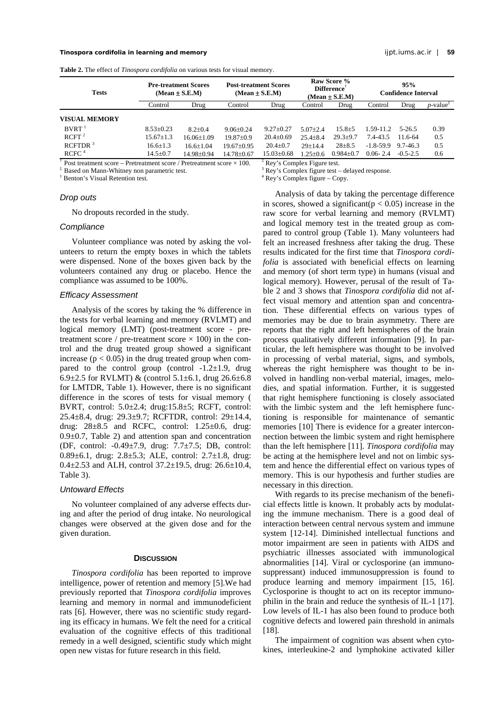<span id="page-2-0"></span>**Table 2.** The effect of *Tinospora cordifolia* on various tests for visual memory.

| <b>Tests</b>                                                                 |                 | <b>Pre-treatment Scores</b><br>$(Mean \pm S.E.M)$ | <b>Post-treatment Scores</b><br>$(Mean \pm S.E.M)$ |                  | Raw Score %<br>Difference<br>$(Mean \pm S.E.M)$ |                 | 95%<br><b>Confidence Interval</b> |              |                                             |
|------------------------------------------------------------------------------|-----------------|---------------------------------------------------|----------------------------------------------------|------------------|-------------------------------------------------|-----------------|-----------------------------------|--------------|---------------------------------------------|
|                                                                              | Control         | Drug                                              | Control                                            | Drug             | Control                                         | Drug            | Control                           | Drug         | $p$ -value <sup><math>\ddagger</math></sup> |
| VISUAL MEMORY                                                                |                 |                                                   |                                                    |                  |                                                 |                 |                                   |              |                                             |
| $BVRT$ <sup>1</sup>                                                          | $8.53 \pm 0.23$ | $8.2 \pm 0.4$                                     | $9.06 \pm 0.24$                                    | $9.27 \pm 0.27$  | $5.07 + 2.4$                                    | $15.8 \pm 5$    | 1.59-11.2                         | $5-26.5$     | 0.39                                        |
| RCFT <sup>2</sup>                                                            | $15.67 \pm 1.3$ | $16.06 + 1.09$                                    | $19.87+0.9$                                        | $20.4 \pm 0.69$  | $25.4 + 8.4$                                    | $29.3 + 9.7$    | 7.4-43.5                          | 11.6-64      | 0.5                                         |
| RCFTDR <sup>3</sup>                                                          | $16.6 \pm 1.3$  | $16.6 + 1.04$                                     | $19.67+0.95$                                       | $20.4 \pm 0.7$   | $29+14.4$                                       | $28 + 8.5$      | $-1.8 - 59.9$                     | 9.7-46.3     | 0.5                                         |
| RCFC <sup>4</sup>                                                            | $14.5 \pm 0.7$  | 14.98±0.94                                        | $14.78 \pm 0.67$                                   | $15.03 \pm 0.68$ | $1.25 + 0.6$                                    | $0.984 \pm 0.7$ | $0.06 - 2.4$                      | $-0.5 - 2.5$ | 0.6                                         |
| Post treatment score – Pretreatment score / Pretreatment score $\times$ 100. |                 | <sup>2</sup> Rey's Complex Figure test.           |                                                    |                  |                                                 |                 |                                   |              |                                             |

3

‡ Based on Mann-Whitney non parametric test.

<sup>1</sup> Benton's Visual Retention test.

# *Drop outs*

No dropouts recorded in the study.

## *Compliance*

Volunteer compliance was noted by asking the volunteers to return the empty boxes in which the tablets were dispensed. None of the boxes given back by the volunteers contained any drug or placebo. Hence the compliance was assumed to be 100%.

## *Efficacy Assessment*

Analysis of the scores by taking the % difference in the tests for verbal learning and memory (RVLMT) and logical memory (LMT) (post-treatment score - pretreatment score / pre-treatment score  $\times$  100) in the control and the drug treated group showed a significant increase ( $p < 0.05$ ) in the drug treated group when compared to the control group (control  $-1.2\pm1.9$ , drug 6.9 $\pm$ 2.5 for RVLMT) & (control 5.1 $\pm$ 6.1, drug 26.6 $\pm$ 6.8 for LMTDR, [Table 1\)](#page-1-0). However, there is no significant difference in the scores of tests for visual memory ( BVRT, control: 5.0±2.4; drug:15.8±5; RCFT, control: 25.4±8.4, drug: 29.3±9.7; RCFTDR, control: 29±14.4, drug: 28±8.5 and RCFC, control: 1.25±0.6, drug:  $0.9\pm0.7$ , [Table 2\)](#page-2-0) and attention span and concentration (DF, control: -0.49±7.9, drug: 7.7±7.5; DB, control: 0.89±6.1, drug: 2.8±5.3; ALE, control: 2.7±1.8, drug: 0.4 $\pm$ 2.53 and ALH, control 37.2 $\pm$ 19.5, drug: 26.6 $\pm$ 10.4, [Table 3\)](#page-3-7).

#### *Untoward Effects*

No volunteer complained of any adverse effects during and after the period of drug intake. No neurological changes were observed at the given dose and for the given duration.

# **DISCUSSION**

*Tinospora cordifolia* has been reported to improve intelligence, power of retention and memory [5]. We had previously reported that *Tinospora cordifolia* improves learning and memory in normal and immunodeficient rats [6]. However, there was no scientific study regarding its efficacy in humans. We felt the need for a critical evaluation of the cognitive effects of this traditional remedy in a well designed, scientific study which might open new vistas for future research in this field.

 $2$  Rey's Complex Figure test.

Rey's Complex figure test – delayed response.

4 Rey's Complex figure – Copy.

Analysis of data by taking the percentage difference in scores, showed a significant  $(p < 0.05)$  increase in the raw score for verbal learning and memory (RVLMT) and logical memory test in the treated group as compared to control group [\(Table 1\)](#page-1-0). Many volunteers had felt an increased freshness after taking the drug. These results indicated for the first time that *Tinospora cordifolia* is associated with beneficial effects on learning and memory (of short term type) in humans (visual and logical memory). However, perusal of the result of Table 2 and 3 shows that *Tinospora cordifolia* did not affect visual memory and attention span and concentration. These differential effects on various types of memories may be due to brain asymmetry. There are reports that the right and left hemispheres of the brain process qualitatively different information [9]. In particular, the left hemisphere was thought to be involved in processing of verbal material, signs, and symbols, whereas the right hemisphere was thought to be involved in handling non-verbal material, images, melodies, and spatial information. Further, it is suggested that right hemisphere functioning is closely associated with the limbic system and the left hemisphere functioning is responsible for maintenance of semantic memories [10] There is evidence for a greater interconnection between the limbic system and right hemisphere than the left hemisphere [\[11\]](#page-3-10). *Tinospora cordifolia* may be acting at the hemisphere level and not on limbic system and hence the differential effect on various types of memory. This is our hypothesis and further studies are necessary in this direction.

With regards to its precise mechanism of the beneficial effects little is known. It probably acts by modulating the immune mechanism. There is a good deal of interaction between central nervous system and immune system [12-14]. Diminished intellectual functions and motor impairment are seen in patients with AIDS and psychiatric illnesses associated with immunological abnormalities [\[ 14\]](#page-3-12). Viral or cyclosporine (an immunosuppressant) induced immunosuppression is found to produce learning and memory impairment [\[15,](#page-3-13) [16\]](#page-3-14). Cyclosporine is thought to act on its receptor immunophilin in the brain and reduce the synthesis of IL-1 [ [17\]](#page-3-15). Low levels of IL-1 has also been found to produce both cognitive defects and lowered pain threshold in animals [\[ 18\]](#page-3-16).

The impairment of cognition was absent when cytokines, interleukine-2 and lymphokine activated killer